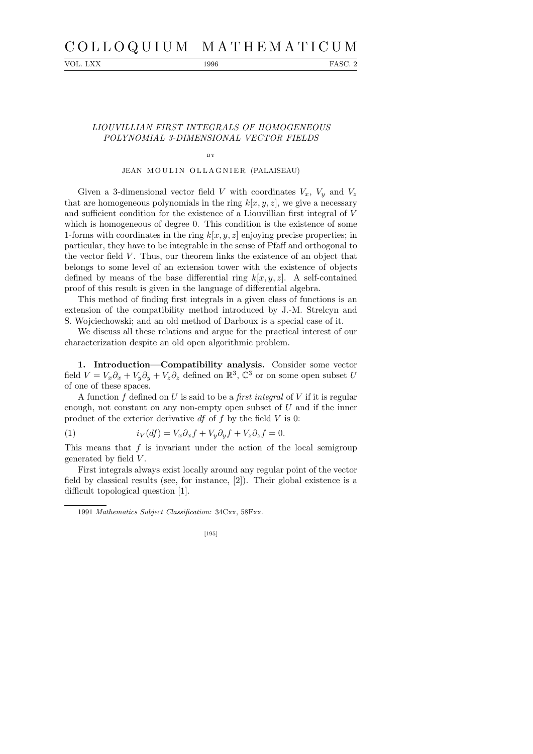# C O L L O Q U I U M M A T H E M A T I C U M

VOL. LXX 1996 FASC. 2

# LIOUVILLIAN FIRST INTEGRALS OF HOMOGENEOUS POLYNOMIAL 3-DIMENSIONAL VECTOR FIELDS

### BY

# JEAN MOULIN OLLAGNIER (PALAISEAU)

Given a 3-dimensional vector field V with coordinates  $V_x$ ,  $V_y$  and  $V_z$ that are homogeneous polynomials in the ring  $k[x, y, z]$ , we give a necessary and sufficient condition for the existence of a Liouvillian first integral of V which is homogeneous of degree 0. This condition is the existence of some 1-forms with coordinates in the ring  $k[x, y, z]$  enjoying precise properties; in particular, they have to be integrable in the sense of Pfaff and orthogonal to the vector field  $V$ . Thus, our theorem links the existence of an object that belongs to some level of an extension tower with the existence of objects defined by means of the base differential ring  $k[x, y, z]$ . A self-contained proof of this result is given in the language of differential algebra.

This method of finding first integrals in a given class of functions is an extension of the compatibility method introduced by J.-M. Strelcyn and S. Wojciechowski; and an old method of Darboux is a special case of it.

We discuss all these relations and argue for the practical interest of our characterization despite an old open algorithmic problem.

1. Introduction—Compatibility analysis. Consider some vector field  $V = V_x \partial_x + V_y \partial_y + V_z \partial_z$  defined on  $\mathbb{R}^3$ ,  $\mathbb{C}^3$  or on some open subset U of one of these spaces.

A function f defined on U is said to be a first integral of V if it is regular enough, not constant on any non-empty open subset of  $U$  and if the inner product of the exterior derivative  $df$  of f by the field V is 0:

(1) 
$$
i_V(df) = V_x \partial_x f + V_y \partial_y f + V_z \partial_z f = 0.
$$

This means that  $f$  is invariant under the action of the local semigroup generated by field V .

First integrals always exist locally around any regular point of the vector field by classical results (see, for instance, [2]). Their global existence is a difficult topological question [1].

<sup>1991</sup> *Mathematics Subject Classification*: 34Cxx, 58Fxx.

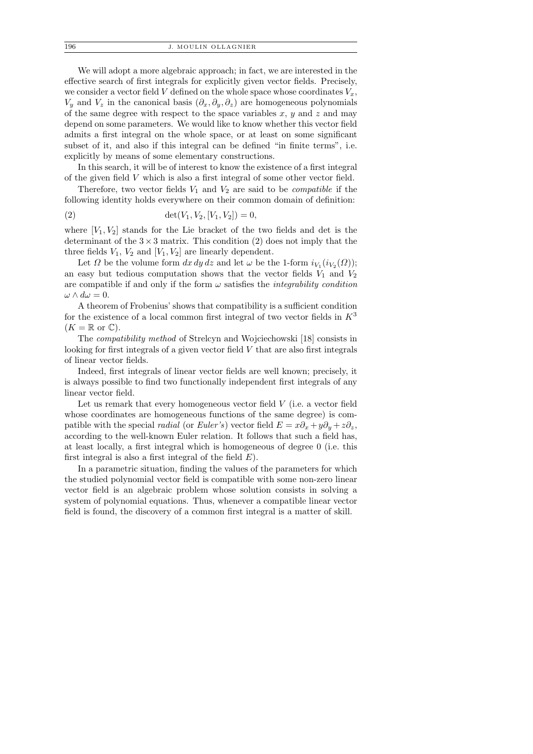We will adopt a more algebraic approach; in fact, we are interested in the effective search of first integrals for explicitly given vector fields. Precisely, we consider a vector field V defined on the whole space whose coordinates  $V_x$ ,  $V_y$  and  $V_z$  in the canonical basis  $(\partial_x, \partial_y, \partial_z)$  are homogeneous polynomials of the same degree with respect to the space variables  $x, y$  and  $z$  and may depend on some parameters. We would like to know whether this vector field admits a first integral on the whole space, or at least on some significant subset of it, and also if this integral can be defined "in finite terms", i.e. explicitly by means of some elementary constructions.

In this search, it will be of interest to know the existence of a first integral of the given field V which is also a first integral of some other vector field.

Therefore, two vector fields  $V_1$  and  $V_2$  are said to be *compatible* if the following identity holds everywhere on their common domain of definition:

(2) 
$$
\det(V_1, V_2, [V_1, V_2]) = 0,
$$

where  $[V_1, V_2]$  stands for the Lie bracket of the two fields and det is the determinant of the  $3 \times 3$  matrix. This condition (2) does not imply that the three fields  $V_1$ ,  $V_2$  and  $[V_1, V_2]$  are linearly dependent.

Let  $\Omega$  be the volume form  $dx dy dz$  and let  $\omega$  be the 1-form  $i_{V_1}(i_{V_2}(\Omega));$ an easy but tedious computation shows that the vector fields  $V_1$  and  $V_2$ are compatible if and only if the form  $\omega$  satisfies the *integrability condition*  $\omega \wedge d\omega = 0.$ 

A theorem of Frobenius' shows that compatibility is a sufficient condition for the existence of a local common first integral of two vector fields in  $K^3$  $(K = \mathbb{R}$  or  $\mathbb{C}).$ 

The compatibility method of Strelcyn and Wojciechowski [18] consists in looking for first integrals of a given vector field V that are also first integrals of linear vector fields.

Indeed, first integrals of linear vector fields are well known; precisely, it is always possible to find two functionally independent first integrals of any linear vector field.

Let us remark that every homogeneous vector field  $V$  (i.e. a vector field whose coordinates are homogeneous functions of the same degree) is compatible with the special *radial* (or *Euler's*) vector field  $E = x\partial_x + y\partial_y + z\partial_z$ , according to the well-known Euler relation. It follows that such a field has, at least locally, a first integral which is homogeneous of degree 0 (i.e. this first integral is also a first integral of the field  $E$ ).

In a parametric situation, finding the values of the parameters for which the studied polynomial vector field is compatible with some non-zero linear vector field is an algebraic problem whose solution consists in solving a system of polynomial equations. Thus, whenever a compatible linear vector field is found, the discovery of a common first integral is a matter of skill.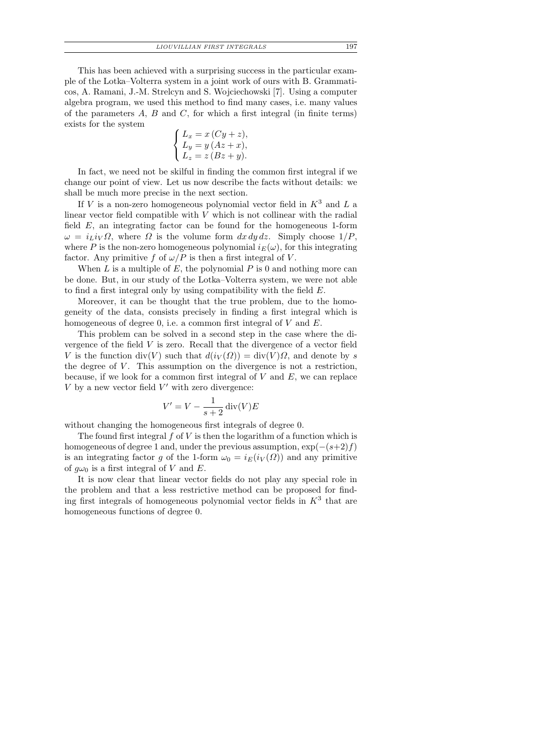This has been achieved with a surprising success in the particular example of the Lotka–Volterra system in a joint work of ours with B. Grammaticos, A. Ramani, J.-M. Strelcyn and S. Wojciechowski [7]. Using a computer algebra program, we used this method to find many cases, i.e. many values of the parameters  $A$ ,  $B$  and  $C$ , for which a first integral (in finite terms) exists for the system

$$
\begin{cases}\nL_x = x\left(Cy + z\right), \\
L_y = y\left(Az + x\right), \\
L_z = z\left(Bz + y\right).\n\end{cases}
$$

In fact, we need not be skilful in finding the common first integral if we change our point of view. Let us now describe the facts without details: we shall be much more precise in the next section.

If V is a non-zero homogeneous polynomial vector field in  $K^3$  and L a linear vector field compatible with  $V$  which is not collinear with the radial field E, an integrating factor can be found for the homogeneous 1-form  $\omega = i_L i_V \Omega$ , where  $\Omega$  is the volume form  $dx dy dz$ . Simply choose  $1/P$ , where P is the non-zero homogeneous polynomial  $i_E(\omega)$ , for this integrating factor. Any primitive f of  $\omega/P$  is then a first integral of V.

When L is a multiple of E, the polynomial  $P$  is 0 and nothing more can be done. But, in our study of the Lotka–Volterra system, we were not able to find a first integral only by using compatibility with the field E.

Moreover, it can be thought that the true problem, due to the homogeneity of the data, consists precisely in finding a first integral which is homogeneous of degree 0, i.e. a common first integral of V and E.

This problem can be solved in a second step in the case where the divergence of the field V is zero. Recall that the divergence of a vector field V is the function div(V) such that  $d(i_V(\Omega)) = \text{div}(V) \Omega$ , and denote by s the degree of  $V$ . This assumption on the divergence is not a restriction, because, if we look for a common first integral of  $V$  and  $E$ , we can replace  $V$  by a new vector field  $V'$  with zero divergence:

$$
V' = V - \frac{1}{s+2} \operatorname{div}(V) E
$$

without changing the homogeneous first integrals of degree 0.

The found first integral  $f$  of  $V$  is then the logarithm of a function which is homogeneous of degree 1 and, under the previous assumption,  $\exp(-(s+2)f)$ is an integrating factor g of the 1-form  $\omega_0 = i_E(i_V(\Omega))$  and any primitive of  $g\omega_0$  is a first integral of V and E.

It is now clear that linear vector fields do not play any special role in the problem and that a less restrictive method can be proposed for finding first integrals of homogeneous polynomial vector fields in  $K^3$  that are homogeneous functions of degree 0.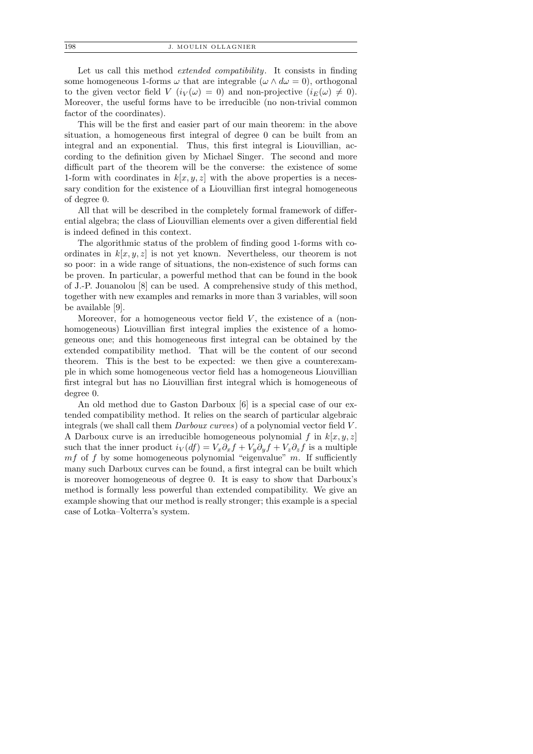Let us call this method *extended compatibility*. It consists in finding some homogeneous 1-forms  $\omega$  that are integrable  $(\omega \wedge d\omega = 0)$ , orthogonal to the given vector field  $V(i_V(\omega) = 0)$  and non-projective  $(i_E(\omega) \neq 0)$ . Moreover, the useful forms have to be irreducible (no non-trivial common factor of the coordinates).

This will be the first and easier part of our main theorem: in the above situation, a homogeneous first integral of degree 0 can be built from an integral and an exponential. Thus, this first integral is Liouvillian, according to the definition given by Michael Singer. The second and more difficult part of the theorem will be the converse: the existence of some 1-form with coordinates in  $k[x, y, z]$  with the above properties is a necessary condition for the existence of a Liouvillian first integral homogeneous of degree 0.

All that will be described in the completely formal framework of differential algebra; the class of Liouvillian elements over a given differential field is indeed defined in this context.

The algorithmic status of the problem of finding good 1-forms with coordinates in  $k[x, y, z]$  is not yet known. Nevertheless, our theorem is not so poor: in a wide range of situations, the non-existence of such forms can be proven. In particular, a powerful method that can be found in the book of J.-P. Jouanolou [8] can be used. A comprehensive study of this method, together with new examples and remarks in more than 3 variables, will soon be available [9].

Moreover, for a homogeneous vector field  $V$ , the existence of a (nonhomogeneous) Liouvillian first integral implies the existence of a homogeneous one; and this homogeneous first integral can be obtained by the extended compatibility method. That will be the content of our second theorem. This is the best to be expected: we then give a counterexample in which some homogeneous vector field has a homogeneous Liouvillian first integral but has no Liouvillian first integral which is homogeneous of degree 0.

An old method due to Gaston Darboux [6] is a special case of our extended compatibility method. It relies on the search of particular algebraic integrals (we shall call them Darboux curves) of a polynomial vector field V . A Darboux curve is an irreducible homogeneous polynomial f in  $k[x, y, z]$ such that the inner product  $i_V(df) = V_x \partial_x f + V_y \partial_y f + V_z \partial_z f$  is a multiple  $mf$  of f by some homogeneous polynomial "eigenvalue" m. If sufficiently many such Darboux curves can be found, a first integral can be built which is moreover homogeneous of degree 0. It is easy to show that Darboux's method is formally less powerful than extended compatibility. We give an example showing that our method is really stronger; this example is a special case of Lotka–Volterra's system.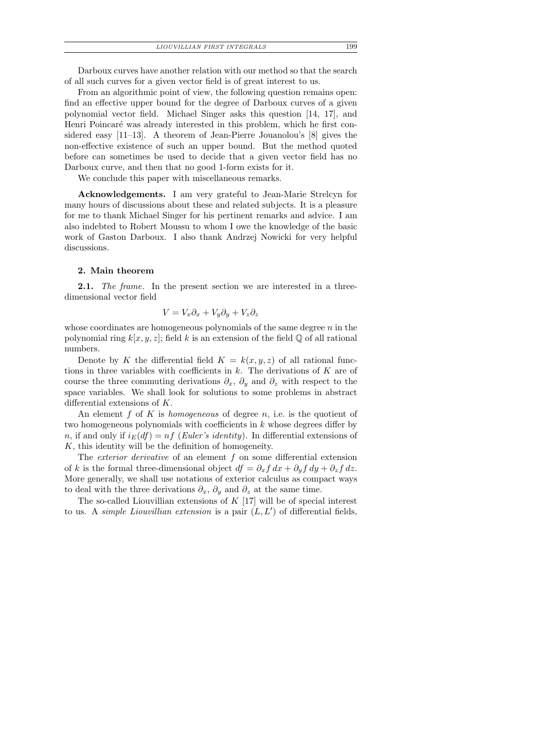| LIOUVILLIAN FIRST INTEGRALS | 199 |
|-----------------------------|-----|
|-----------------------------|-----|

Darboux curves have another relation with our method so that the search of all such curves for a given vector field is of great interest to us.

From an algorithmic point of view, the following question remains open: find an effective upper bound for the degree of Darboux curves of a given polynomial vector field. Michael Singer asks this question [14, 17], and Henri Poincaré was already interested in this problem, which he first considered easy [11–13]. A theorem of Jean-Pierre Jouanolou's [8] gives the non-effective existence of such an upper bound. But the method quoted before can sometimes be used to decide that a given vector field has no Darboux curve, and then that no good 1-form exists for it.

We conclude this paper with miscellaneous remarks.

Acknowledgements. I am very grateful to Jean-Marie Strelcyn for many hours of discussions about these and related subjects. It is a pleasure for me to thank Michael Singer for his pertinent remarks and advice. I am also indebted to Robert Moussu to whom I owe the knowledge of the basic work of Gaston Darboux. I also thank Andrzej Nowicki for very helpful discussions.

# 2. Main theorem

**2.1.** The frame. In the present section we are interested in a threedimensional vector field

$$
V = V_x \partial_x + V_y \partial_y + V_z \partial_z
$$

whose coordinates are homogeneous polynomials of the same degree  $n$  in the polynomial ring  $k[x, y, z]$ ; field k is an extension of the field Q of all rational numbers.

Denote by K the differential field  $K = k(x, y, z)$  of all rational functions in three variables with coefficients in  $k$ . The derivations of  $K$  are of course the three commuting derivations  $\partial_x$ ,  $\partial_y$  and  $\partial_z$  with respect to the space variables. We shall look for solutions to some problems in abstract differential extensions of K.

An element f of K is homogeneous of degree n, i.e. is the quotient of two homogeneous polynomials with coefficients in  $k$  whose degrees differ by n, if and only if  $i_E(df) = nf$  (Euler's identity). In differential extensions of  $K$ , this identity will be the definition of homogeneity.

The *exterior derivative* of an element  $f$  on some differential extension of k is the formal three-dimensional object  $df = \partial_x f dx + \partial_y f dy + \partial_z f dz$ . More generally, we shall use notations of exterior calculus as compact ways to deal with the three derivations  $\partial_x$ ,  $\partial_y$  and  $\partial_z$  at the same time.

The so-called Liouvillian extensions of  $K$  [17] will be of special interest to us. A *simple Liouvillian extension* is a pair  $(L, L')$  of differential fields,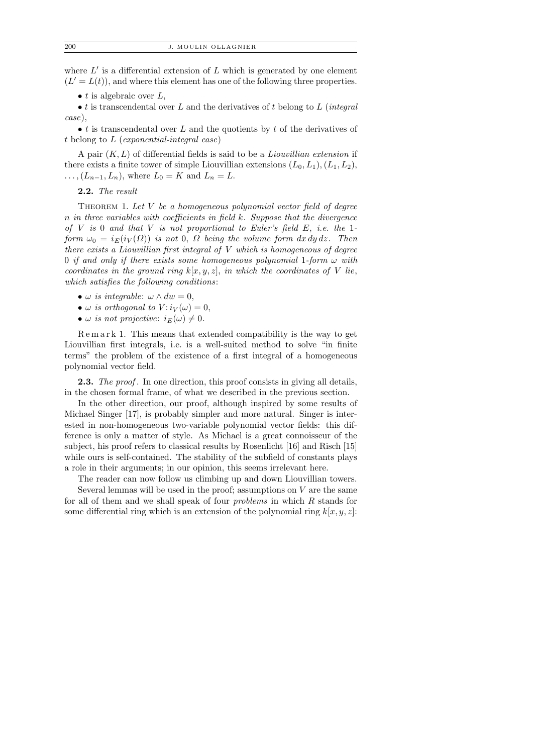where  $L'$  is a differential extension of  $L$  which is generated by one element  $(L' = L(t))$ , and where this element has one of the following three properties.

• t is algebraic over  $L$ ,

• t is transcendental over L and the derivatives of t belong to  $L$  (integral case),

 $\bullet$  t is transcendental over L and the quotients by t of the derivatives of t belong to L (exponential-integral case)

A pair  $(K, L)$  of differential fields is said to be a *Liouvillian extension* if there exists a finite tower of simple Liouvillian extensions  $(L_0, L_1), (L_1, L_2)$ ,  $\ldots$ ,  $(L_{n-1}, L_n)$ , where  $L_0 = K$  and  $L_n = L$ .

2.2. The result

THEOREM 1. Let  $V$  be a homogeneous polynomial vector field of degree n in three variables with coefficients in field k. Suppose that the divergence of  $V$  is 0 and that  $V$  is not proportional to Euler's field  $E$ , i.e. the 1form  $\omega_0 = i_E(i_V(\Omega))$  is not 0,  $\Omega$  being the volume form  $dx dy dz$ . Then there exists a Liouvillian first integral of V which is homogeneous of degree 0 if and only if there exists some homogeneous polynomial 1-form  $\omega$  with coordinates in the ground ring  $k[x, y, z]$ , in which the coordinates of V lie, which satisfies the following conditions:

- $\omega$  is integrable:  $\omega \wedge dw = 0$ ,
- $\omega$  is orthogonal to  $V: i_V(\omega) = 0$ ,
- $\omega$  is not projective:  $i_E(\omega) \neq 0$ .

Remark 1. This means that extended compatibility is the way to get Liouvillian first integrals, i.e. is a well-suited method to solve "in finite terms" the problem of the existence of a first integral of a homogeneous polynomial vector field.

**2.3.** The proof. In one direction, this proof consists in giving all details, in the chosen formal frame, of what we described in the previous section.

In the other direction, our proof, although inspired by some results of Michael Singer [17], is probably simpler and more natural. Singer is interested in non-homogeneous two-variable polynomial vector fields: this difference is only a matter of style. As Michael is a great connoisseur of the subject, his proof refers to classical results by Rosenlicht [16] and Risch [15] while ours is self-contained. The stability of the subfield of constants plays a role in their arguments; in our opinion, this seems irrelevant here.

The reader can now follow us climbing up and down Liouvillian towers. Several lemmas will be used in the proof; assumptions on  $V$  are the same

for all of them and we shall speak of four problems in which R stands for some differential ring which is an extension of the polynomial ring  $k[x, y, z]$ :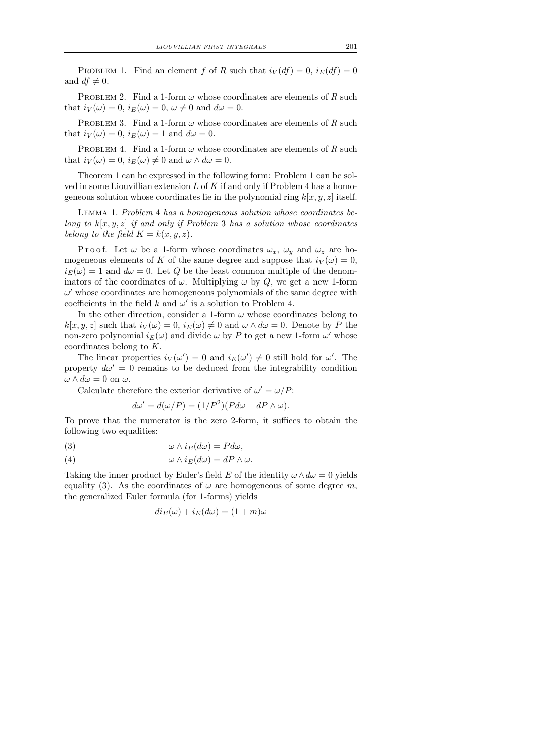PROBLEM 1. Find an element f of R such that  $i_V(df) = 0$ ,  $i_E(df) = 0$ and  $df \neq 0$ .

PROBLEM 2. Find a 1-form  $\omega$  whose coordinates are elements of R such that  $i_V(\omega) = 0$ ,  $i_E(\omega) = 0$ ,  $\omega \neq 0$  and  $d\omega = 0$ .

PROBLEM 3. Find a 1-form  $\omega$  whose coordinates are elements of R such that  $i_V(\omega) = 0$ ,  $i_E(\omega) = 1$  and  $d\omega = 0$ .

PROBLEM 4. Find a 1-form  $\omega$  whose coordinates are elements of R such that  $i_V(\omega) = 0$ ,  $i_E(\omega) \neq 0$  and  $\omega \wedge d\omega = 0$ .

Theorem 1 can be expressed in the following form: Problem 1 can be solved in some Liouvillian extension  $L$  of  $K$  if and only if Problem 4 has a homogeneous solution whose coordinates lie in the polynomial ring  $k[x, y, z]$  itself.

Lemma 1. Problem 4 has a homogeneous solution whose coordinates belong to  $k[x, y, z]$  if and only if Problem 3 has a solution whose coordinates belong to the field  $K = k(x, y, z)$ .

P r o o f. Let  $\omega$  be a 1-form whose coordinates  $\omega_x$ ,  $\omega_y$  and  $\omega_z$  are homogeneous elements of K of the same degree and suppose that  $i_V(\omega) = 0$ ,  $i_E(\omega) = 1$  and  $d\omega = 0$ . Let Q be the least common multiple of the denominators of the coordinates of  $\omega$ . Multiplying  $\omega$  by Q, we get a new 1-form  $\omega'$  whose coordinates are homogeneous polynomials of the same degree with coefficients in the field  $k$  and  $\omega'$  is a solution to Problem 4.

In the other direction, consider a 1-form  $\omega$  whose coordinates belong to  $k[x, y, z]$  such that  $i_V(\omega) = 0$ ,  $i_E(\omega) \neq 0$  and  $\omega \wedge d\omega = 0$ . Denote by P the non-zero polynomial  $i_E(\omega)$  and divide  $\omega$  by P to get a new 1-form  $\omega'$  whose coordinates belong to K.

The linear properties  $i_V(\omega') = 0$  and  $i_E(\omega') \neq 0$  still hold for  $\omega'$ . The property  $d\omega' = 0$  remains to be deduced from the integrability condition  $\omega \wedge d\omega = 0$  on  $\omega$ .

Calculate therefore the exterior derivative of  $\omega' = \omega/P$ :

$$
d\omega' = d(\omega/P) = (1/P^2)(P d\omega - dP \wedge \omega).
$$

To prove that the numerator is the zero 2-form, it suffices to obtain the following two equalities:

(3) 
$$
\omega \wedge i_E(d\omega) = P d\omega,
$$

(4) 
$$
\omega \wedge i_E(d\omega) = dP \wedge \omega.
$$

Taking the inner product by Euler's field E of the identity  $\omega \wedge d\omega = 0$  yields equality (3). As the coordinates of  $\omega$  are homogeneous of some degree m, the generalized Euler formula (for 1-forms) yields

$$
di_E(\omega) + i_E(d\omega) = (1+m)\omega
$$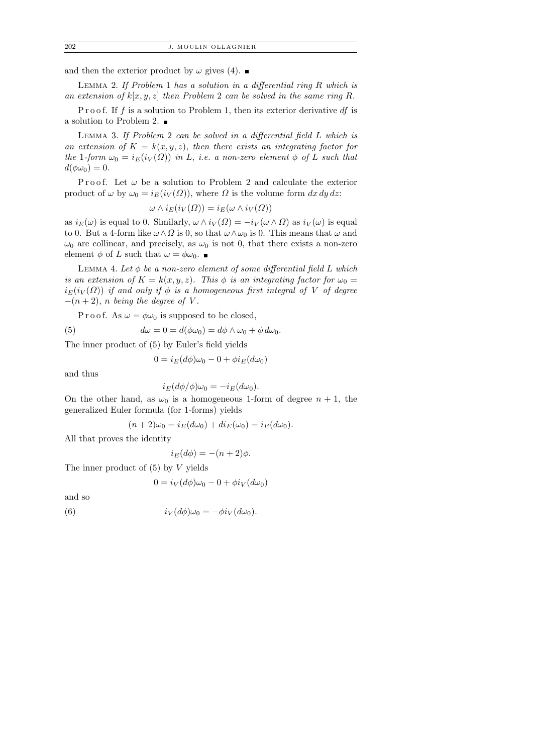and then the exterior product by  $\omega$  gives (4).

LEMMA 2. If Problem 1 has a solution in a differential ring  $R$  which is an extension of  $k[x, y, z]$  then Problem 2 can be solved in the same ring R.

P r o o f. If f is a solution to Problem 1, then its exterior derivative  $df$  is a solution to Problem 2.

Lemma 3. If Problem 2 can be solved in a differential field L which is an extension of  $K = k(x, y, z)$ , then there exists an integrating factor for the 1-form  $\omega_0 = i_E(i_V(\Omega))$  in L, i.e. a non-zero element  $\phi$  of L such that  $d(\phi\omega_0)=0.$ 

Proof. Let  $\omega$  be a solution to Problem 2 and calculate the exterior product of  $\omega$  by  $\omega_0 = i_E(i_V(\Omega))$ , where  $\Omega$  is the volume form  $dx dy dz$ :

$$
\omega \wedge i_E(i_V(\Omega)) = i_E(\omega \wedge i_V(\Omega))
$$

as  $i_E(\omega)$  is equal to 0. Similarly,  $\omega \wedge i_V(\Omega) = -i_V(\omega \wedge \Omega)$  as  $i_V(\omega)$  is equal to 0. But a 4-form like  $\omega \wedge \Omega$  is 0, so that  $\omega \wedge \omega_0$  is 0. This means that  $\omega$  and  $\omega_0$  are collinear, and precisely, as  $\omega_0$  is not 0, that there exists a non-zero element  $\phi$  of L such that  $\omega = \phi \omega_0$ .

LEMMA 4. Let  $\phi$  be a non-zero element of some differential field L which is an extension of  $K = k(x, y, z)$ . This  $\phi$  is an integrating factor for  $\omega_0 =$  $i_E(i_V(\Omega))$  if and only if  $\phi$  is a homogeneous first integral of V of degree  $-(n+2)$ , *n* being the degree of V.

P r o o f. As  $\omega = \phi \omega_0$  is supposed to be closed,

(5) 
$$
d\omega = 0 = d(\phi\omega_0) = d\phi \wedge \omega_0 + \phi d\omega_0.
$$

The inner product of (5) by Euler's field yields

 $0 = i_E(d\phi)\omega_0 - 0 + \phi i_E(d\omega_0)$ 

and thus

$$
i_E(d\phi/\phi)\omega_0 = -i_E(d\omega_0).
$$

On the other hand, as  $\omega_0$  is a homogeneous 1-form of degree  $n + 1$ , the generalized Euler formula (for 1-forms) yields

$$
(n+2)\omega_0 = i_E(d\omega_0) + di_E(\omega_0) = i_E(d\omega_0).
$$

All that proves the identity

$$
i_E(d\phi) = -(n+2)\phi.
$$

The inner product of  $(5)$  by V yields

$$
0 = i_V(d\phi)\omega_0 - 0 + \phi i_V(d\omega_0)
$$

and so

(6) 
$$
i_V(d\phi)\omega_0 = -\phi i_V(d\omega_0).
$$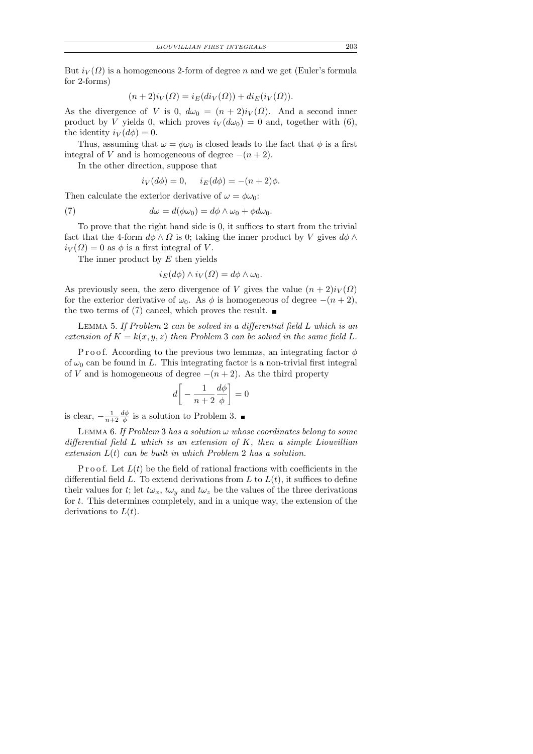But  $i_V(\Omega)$  is a homogeneous 2-form of degree n and we get (Euler's formula for 2-forms)

$$
(n+2)i_V(\Omega) = i_E(di_V(\Omega)) + di_E(i_V(\Omega)).
$$

As the divergence of V is 0,  $d\omega_0 = (n+2)i_V(\Omega)$ . And a second inner product by V yields 0, which proves  $i_V(d\omega_0) = 0$  and, together with (6), the identity  $i_V(d\phi) = 0$ .

Thus, assuming that  $\omega = \phi \omega_0$  is closed leads to the fact that  $\phi$  is a first integral of V and is homogeneous of degree  $-(n+2)$ .

In the other direction, suppose that

$$
i_V(d\phi) = 0, \quad i_E(d\phi) = -(n+2)\phi.
$$

Then calculate the exterior derivative of  $\omega = \phi \omega_0$ :

(7) 
$$
d\omega = d(\phi \omega_0) = d\phi \wedge \omega_0 + \phi d\omega_0.
$$

To prove that the right hand side is 0, it suffices to start from the trivial fact that the 4-form  $d\phi \wedge \Omega$  is 0; taking the inner product by V gives  $d\phi \wedge \Omega$  $i_V(\Omega) = 0$  as  $\phi$  is a first integral of V.

The inner product by  $E$  then yields

$$
i_E(d\phi) \wedge i_V(\Omega) = d\phi \wedge \omega_0.
$$

As previously seen, the zero divergence of V gives the value  $(n+2)i<sub>V</sub>(\Omega)$ for the exterior derivative of  $\omega_0$ . As  $\phi$  is homogeneous of degree  $-(n+2)$ , the two terms of (7) cancel, which proves the result.  $\blacksquare$ 

Lemma 5. If Problem 2 can be solved in a differential field L which is an extension of  $K = k(x, y, z)$  then Problem 3 can be solved in the same field L.

P r o o f. According to the previous two lemmas, an integrating factor  $\phi$ of  $\omega_0$  can be found in L. This integrating factor is a non-trivial first integral of V and is homogeneous of degree  $-(n+2)$ . As the third property

$$
d\bigg[-\frac{1}{n+2}\frac{d\phi}{\phi}\bigg]=0
$$

is clear,  $-\frac{1}{n+1}$  $n+2$  $d\phi$  $\frac{d\phi}{\phi}$  is a solution to Problem 3.

LEMMA 6. If Problem 3 has a solution  $\omega$  whose coordinates belong to some differential field  $L$  which is an extension of  $K$ , then a simple Liouvillian extension  $L(t)$  can be built in which Problem 2 has a solution.

P r o o f. Let  $L(t)$  be the field of rational fractions with coefficients in the differential field L. To extend derivations from L to  $L(t)$ , it suffices to define their values for t; let  $t\omega_x$ ,  $t\omega_y$  and  $t\omega_z$  be the values of the three derivations for t. This determines completely, and in a unique way, the extension of the derivations to  $L(t)$ .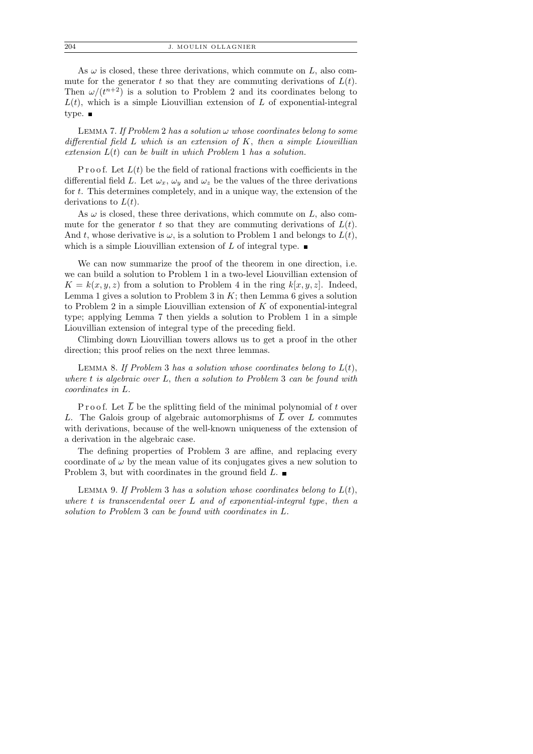As  $\omega$  is closed, these three derivations, which commute on  $L$ , also commute for the generator t so that they are commuting derivations of  $L(t)$ . Then  $\omega/(t^{n+2})$  is a solution to Problem 2 and its coordinates belong to  $L(t)$ , which is a simple Liouvillian extension of L of exponential-integral type.  $\blacksquare$ 

LEMMA 7. If Problem 2 has a solution  $\omega$  whose coordinates belong to some differential field  $L$  which is an extension of  $K$ , then a simple Liouvillian extension  $L(t)$  can be built in which Problem 1 has a solution.

P r o o f. Let  $L(t)$  be the field of rational fractions with coefficients in the differential field L. Let  $\omega_x$ ,  $\omega_y$  and  $\omega_z$  be the values of the three derivations for t. This determines completely, and in a unique way, the extension of the derivations to  $L(t)$ .

As  $\omega$  is closed, these three derivations, which commute on  $L$ , also commute for the generator t so that they are commuting derivations of  $L(t)$ . And t, whose derivative is  $\omega$ , is a solution to Problem 1 and belongs to  $L(t)$ , which is a simple Liouvillian extension of L of integral type.  $\blacksquare$ 

We can now summarize the proof of the theorem in one direction, i.e. we can build a solution to Problem 1 in a two-level Liouvillian extension of  $K = k(x, y, z)$  from a solution to Problem 4 in the ring  $k[x, y, z]$ . Indeed, Lemma 1 gives a solution to Problem 3 in  $K$ ; then Lemma 6 gives a solution to Problem 2 in a simple Liouvillian extension of  $K$  of exponential-integral type; applying Lemma 7 then yields a solution to Problem 1 in a simple Liouvillian extension of integral type of the preceding field.

Climbing down Liouvillian towers allows us to get a proof in the other direction; this proof relies on the next three lemmas.

LEMMA 8. If Problem 3 has a solution whose coordinates belong to  $L(t)$ , where t is algebraic over L, then a solution to Problem 3 can be found with coordinates in L.

P r o o f. Let  $\overline{L}$  be the splitting field of the minimal polynomial of t over L. The Galois group of algebraic automorphisms of  $\overline{L}$  over L commutes with derivations, because of the well-known uniqueness of the extension of a derivation in the algebraic case.

The defining properties of Problem 3 are affine, and replacing every coordinate of  $\omega$  by the mean value of its conjugates gives a new solution to Problem 3, but with coordinates in the ground field  $L$ .

LEMMA 9. If Problem 3 has a solution whose coordinates belong to  $L(t)$ , where t is transcendental over L and of exponential-integral type, then a solution to Problem 3 can be found with coordinates in L.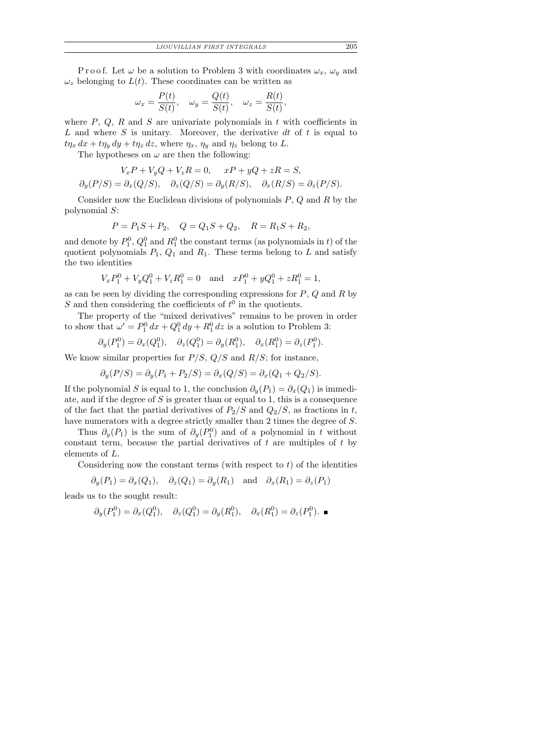P r o o f. Let  $\omega$  be a solution to Problem 3 with coordinates  $\omega_x$ ,  $\omega_y$  and  $\omega_z$  belonging to  $L(t)$ . These coordinates can be written as

$$
\omega_x = \frac{P(t)}{S(t)}, \quad \omega_y = \frac{Q(t)}{S(t)}, \quad \omega_z = \frac{R(t)}{S(t)},
$$

where  $P$ ,  $Q$ ,  $R$  and  $S$  are univariate polynomials in  $t$  with coefficients in L and where S is unitary. Moreover, the derivative  $dt$  of t is equal to  $t\eta_x dx + t\eta_y dy + t\eta_z dz$ , where  $\eta_x$ ,  $\eta_y$  and  $\eta_z$  belong to L.

The hypotheses on  $\omega$  are then the following:

$$
V_x P + V_y Q + V_z R = 0, \quad xP + yQ + zR = S,
$$
  

$$
\partial_y(P/S) = \partial_x(Q/S), \quad \partial_z(Q/S) = \partial_y(R/S), \quad \partial_x(R/S) = \partial_z(P/S).
$$

Consider now the Euclidean divisions of polynomials  $P, Q$  and  $R$  by the polynomial S:

$$
P = P_1S + P_2, \quad Q = Q_1S + Q_2, \quad R = R_1S + R_2,
$$

and denote by  $P_1^0$ ,  $Q_1^0$  and  $R_1^0$  the constant terms (as polynomials in t) of the quotient polynomials  $P_1$ ,  $Q_1$  and  $R_1$ . These terms belong to L and satisfy the two identities

$$
V_x P_1^0 + V_y Q_1^0 + V_z R_1^0 = 0 \text{ and } xP_1^0 + yQ_1^0 + zR_1^0 = 1,
$$

as can be seen by dividing the corresponding expressions for  $P$ ,  $Q$  and  $R$  by S and then considering the coefficients of  $t^0$  in the quotients.

The property of the "mixed derivatives" remains to be proven in order to show that  $\omega' = P_1^0 dx + Q_1^0 dy + R_1^0 dz$  is a solution to Problem 3:

$$
\partial_y(P_1^0) = \partial_x(Q_1^0), \quad \partial_z(Q_1^0) = \partial_y(R_1^0), \quad \partial_x(R_1^0) = \partial_z(P_1^0).
$$

We know similar properties for  $P/S$ ,  $Q/S$  and  $R/S$ ; for instance,

$$
\partial_y(P/S) = \partial_y(P_1 + P_2/S) = \partial_x(Q/S) = \partial_x(Q_1 + Q_2/S).
$$

If the polynomial S is equal to 1, the conclusion  $\partial_y(P_1) = \partial_x(Q_1)$  is immediate, and if the degree of  $S$  is greater than or equal to 1, this is a consequence of the fact that the partial derivatives of  $P_2/S$  and  $Q_2/S$ , as fractions in t, have numerators with a degree strictly smaller than 2 times the degree of S.

Thus  $\partial_y(P_1)$  is the sum of  $\partial_y(P_1^0)$  and of a polynomial in t without constant term, because the partial derivatives of  $t$  are multiples of  $t$  by elements of L.

Considering now the constant terms (with respect to  $t$ ) of the identities

$$
\partial_y(P_1) = \partial_x(Q_1), \quad \partial_z(Q_1) = \partial_y(R_1) \quad \text{and} \quad \partial_x(R_1) = \partial_z(P_1)
$$

leads us to the sought result:

$$
\partial_y(P_1^0) = \partial_x(Q_1^0), \quad \partial_z(Q_1^0) = \partial_y(R_1^0), \quad \partial_x(R_1^0) = \partial_z(P_1^0).
$$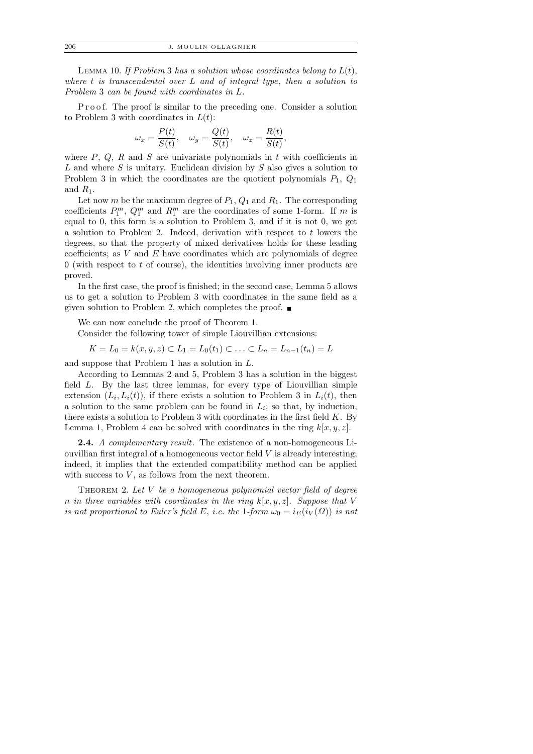LEMMA 10. If Problem 3 has a solution whose coordinates belong to  $L(t)$ , where  $t$  is transcendental over  $L$  and of integral type, then a solution to Problem 3 can be found with coordinates in L.

P r o o f. The proof is similar to the preceding one. Consider a solution to Problem 3 with coordinates in  $L(t)$ :

$$
\omega_x = \frac{P(t)}{S(t)}, \quad \omega_y = \frac{Q(t)}{S(t)}, \quad \omega_z = \frac{R(t)}{S(t)},
$$

where  $P$ ,  $Q$ ,  $R$  and  $S$  are univariate polynomials in  $t$  with coefficients in L and where S is unitary. Euclidean division by S also gives a solution to Problem 3 in which the coordinates are the quotient polynomials  $P_1, Q_1$ and  $R_1$ .

Let now m be the maximum degree of  $P_1$ ,  $Q_1$  and  $R_1$ . The corresponding coefficients  $P_1^m$ ,  $Q_1^m$  and  $R_1^m$  are the coordinates of some 1-form. If m is equal to 0, this form is a solution to Problem 3, and if it is not 0, we get a solution to Problem 2. Indeed, derivation with respect to t lowers the degrees, so that the property of mixed derivatives holds for these leading coefficients; as  $V$  and  $E$  have coordinates which are polynomials of degree  $0$  (with respect to t of course), the identities involving inner products are proved.

In the first case, the proof is finished; in the second case, Lemma 5 allows us to get a solution to Problem 3 with coordinates in the same field as a given solution to Problem 2, which completes the proof.  $\blacksquare$ 

We can now conclude the proof of Theorem 1.

Consider the following tower of simple Liouvillian extensions:

$$
K = L_0 = k(x, y, z) \subset L_1 = L_0(t_1) \subset \ldots \subset L_n = L_{n-1}(t_n) = L
$$

and suppose that Problem 1 has a solution in L.

According to Lemmas 2 and 5, Problem 3 has a solution in the biggest field L. By the last three lemmas, for every type of Liouvillian simple extension  $(L_i, L_i(t))$ , if there exists a solution to Problem 3 in  $L_i(t)$ , then a solution to the same problem can be found in  $L_i$ ; so that, by induction, there exists a solution to Problem 3 with coordinates in the first field  $K$ . By Lemma 1, Problem 4 can be solved with coordinates in the ring  $k[x, y, z]$ .

2.4. A complementary result. The existence of a non-homogeneous Liouvillian first integral of a homogeneous vector field  $V$  is already interesting; indeed, it implies that the extended compatibility method can be applied with success to  $V$ , as follows from the next theorem.

THEOREM 2. Let  $V$  be a homogeneous polynomial vector field of degree n in three variables with coordinates in the ring  $k[x, y, z]$ . Suppose that V is not proportional to Euler's field E, i.e. the 1-form  $\omega_0 = i_E(i_V(\Omega))$  is not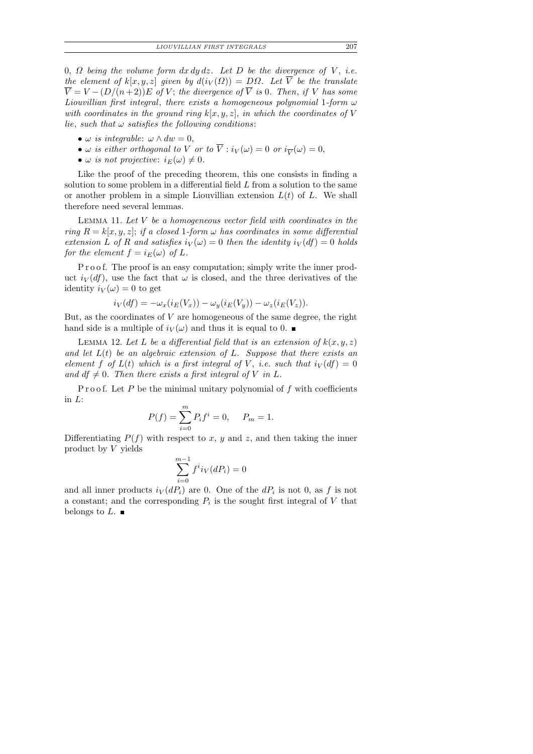0,  $\Omega$  being the volume form  $dx dy dz$ . Let D be the divergence of V, i.e. the element of  $k[x, y, z]$  given by  $d(i_V(\Omega)) = D\Omega$ . Let  $\overline{V}$  be the translate  $\overline{V} = V - (D/(n+2))E$  of V; the divergence of  $\overline{V}$  is 0. Then, if V has some Liouvillian first integral, there exists a homogeneous polynomial 1-form  $\omega$ with coordinates in the ground ring  $k[x, y, z]$ , in which the coordinates of V lie, such that  $\omega$  satisfies the following conditions:

- $\omega$  is integrable:  $\omega \wedge dw = 0$ ,
- $\omega$  is either orthogonal to V or to  $\overline{V}$  :  $i_V(\omega) = 0$  or  $i_{\overline{V}}(\omega) = 0$ ,
- $\omega$  is not projective:  $i_E(\omega) \neq 0$ .

Like the proof of the preceding theorem, this one consists in finding a solution to some problem in a differential field L from a solution to the same or another problem in a simple Liouvillian extension  $L(t)$  of L. We shall therefore need several lemmas.

LEMMA 11. Let  $V$  be a homogeneous vector field with coordinates in the ring  $R = k[x, y, z]$ ; if a closed 1-form  $\omega$  has coordinates in some differential extension L of R and satisfies  $i_V(\omega) = 0$  then the identity  $i_V(df) = 0$  holds for the element  $f = i_E(\omega)$  of L.

P r o o f. The proof is an easy computation; simply write the inner product  $i_V(df)$ , use the fact that  $\omega$  is closed, and the three derivatives of the identity  $i_V(\omega) = 0$  to get

$$
i_V(df) = -\omega_x(i_E(V_x)) - \omega_y(i_E(V_y)) - \omega_z(i_E(V_z)).
$$

But, as the coordinates of  $V$  are homogeneous of the same degree, the right hand side is a multiple of  $i_V(\omega)$  and thus it is equal to 0.

LEMMA 12. Let L be a differential field that is an extension of  $k(x, y, z)$ and let  $L(t)$  be an algebraic extension of L. Suppose that there exists an element f of  $L(t)$  which is a first integral of V, i.e. such that  $i_V(df) = 0$ and  $df \neq 0$ . Then there exists a first integral of V in L.

P r o o f. Let P be the minimal unitary polynomial of  $f$  with coefficients in L:

$$
P(f) = \sum_{i=0}^{m} P_i f^i = 0, \quad P_m = 1.
$$

Differentiating  $P(f)$  with respect to x, y and z, and then taking the inner product by V yields

$$
\sum_{i=0}^{m-1} f^i i_V(dP_i) = 0
$$

and all inner products  $i_V(dP_i)$  are 0. One of the  $dP_i$  is not 0, as f is not a constant; and the corresponding  $P_i$  is the sought first integral of V that belongs to  $L$ .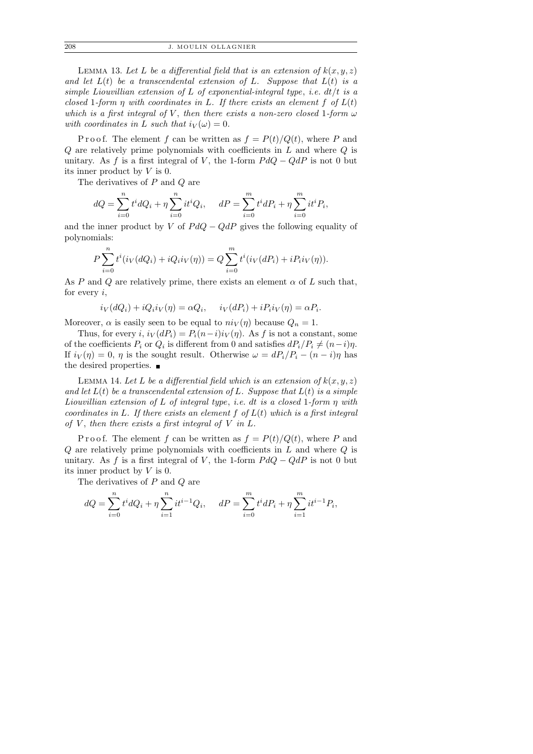208 J. MOULIN OLLAGNIER

LEMMA 13. Let L be a differential field that is an extension of  $k(x, y, z)$ and let  $L(t)$  be a transcendental extension of L. Suppose that  $L(t)$  is a simple Liouvillian extension of L of exponential-integral type, i.e.  $dt/t$  is a closed 1-form  $\eta$  with coordinates in L. If there exists an element f of  $L(t)$ which is a first integral of V, then there exists a non-zero closed 1-form  $\omega$ with coordinates in L such that  $i_V(\omega) = 0$ .

P r o o f. The element f can be written as  $f = P(t)/Q(t)$ , where P and  $Q$  are relatively prime polynomials with coefficients in  $L$  and where  $Q$  is unitary. As f is a first integral of V, the 1-form  $P dQ - Q dP$  is not 0 but its inner product by V is 0.

The derivatives of P and Q are

$$
dQ = \sum_{i=0}^{n} t^{i} dQ_{i} + \eta \sum_{i=0}^{n} it^{i} Q_{i}, \quad dP = \sum_{i=0}^{m} t^{i} dP_{i} + \eta \sum_{i=0}^{m} it^{i} P_{i},
$$

and the inner product by V of  $P dQ - Q dP$  gives the following equality of polynomials:

$$
P\sum_{i=0}^{n} t^{i} (i_{V}(dQ_{i}) + iQ_{i}i_{V}(\eta)) = Q\sum_{i=0}^{m} t^{i} (i_{V}(dP_{i}) + iP_{i}i_{V}(\eta)).
$$

As P and Q are relatively prime, there exists an element  $\alpha$  of L such that, for every  $i$ ,

$$
i_V(dQ_i) + iQ_i i_V(\eta) = \alpha Q_i, \quad i_V(dP_i) + iP_i i_V(\eta) = \alpha P_i.
$$

Moreover,  $\alpha$  is easily seen to be equal to  $ni_V(\eta)$  because  $Q_n = 1$ .

Thus, for every i,  $i_V (dP_i) = P_i (n-i) i_V (\eta)$ . As f is not a constant, some of the coefficients  $P_i$  or  $Q_i$  is different from 0 and satisfies  $dP_i/P_i \neq (n-i)\eta$ . If  $i_V(\eta) = 0$ ,  $\eta$  is the sought result. Otherwise  $\omega = dP_i/P_i - (n - i)\eta$  has the desired properties.  $\blacksquare$ 

LEMMA 14. Let L be a differential field which is an extension of  $k(x, y, z)$ and let  $L(t)$  be a transcendental extension of L. Suppose that  $L(t)$  is a simple Liouvillian extension of L of integral type, i.e. dt is a closed 1-form  $\eta$  with coordinates in L. If there exists an element  $f$  of  $L(t)$  which is a first integral of  $V$ , then there exists a first integral of  $V$  in  $L$ .

P r o o f. The element f can be written as  $f = P(t)/Q(t)$ , where P and  $Q$  are relatively prime polynomials with coefficients in  $L$  and where  $Q$  is unitary. As f is a first integral of V, the 1-form  $P dQ - Q dP$  is not 0 but its inner product by V is 0.

The derivatives of P and Q are

$$
dQ = \sum_{i=0}^{n} t^{i} dQ_{i} + \eta \sum_{i=1}^{n} it^{i-1} Q_{i}, \quad dP = \sum_{i=0}^{m} t^{i} dP_{i} + \eta \sum_{i=1}^{m} it^{i-1} P_{i},
$$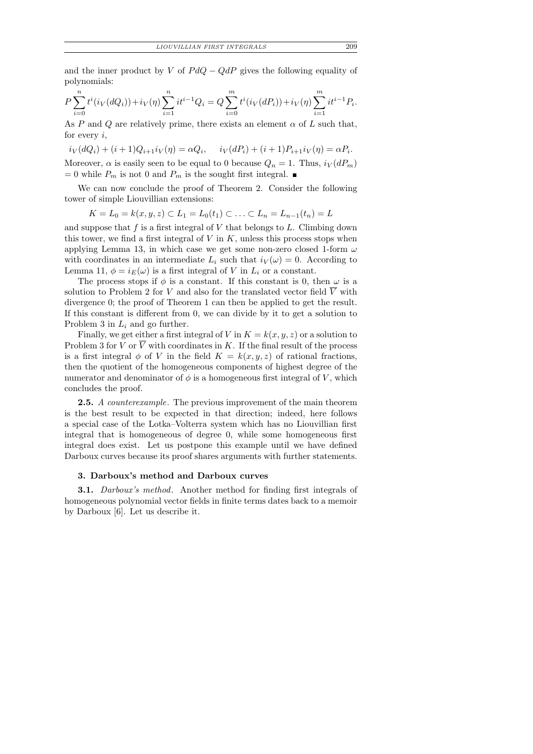and the inner product by V of  $P dQ - Q dP$  gives the following equality of polynomials:

$$
P\sum_{i=0}^{n} t^{i} (i_{V}(dQ_{i})) + i_{V}(\eta) \sum_{i=1}^{n} it^{i-1} Q_{i} = Q \sum_{i=0}^{m} t^{i} (i_{V}(dP_{i})) + i_{V}(\eta) \sum_{i=1}^{m} it^{i-1} P_{i}.
$$

As P and Q are relatively prime, there exists an element  $\alpha$  of L such that, for every  $i$ ,

 $i_V(dQ_i) + (i+1)Q_{i+1}i_V(\eta) = \alpha Q_i, \quad i_V(dP_i) + (i+1)P_{i+1}i_V(\eta) = \alpha P_i.$ Moreover,  $\alpha$  is easily seen to be equal to 0 because  $Q_n = 1$ . Thus,  $i_V(dP_m)$ = 0 while  $P_m$  is not 0 and  $P_m$  is the sought first integral.  $\blacksquare$ 

We can now conclude the proof of Theorem 2. Consider the following tower of simple Liouvillian extensions:

$$
K = L_0 = k(x, y, z) \subset L_1 = L_0(t_1) \subset \ldots \subset L_n = L_{n-1}(t_n) = L
$$

and suppose that  $f$  is a first integral of  $V$  that belongs to  $L$ . Climbing down this tower, we find a first integral of  $V$  in  $K$ , unless this process stops when applying Lemma 13, in which case we get some non-zero closed 1-form  $\omega$ with coordinates in an intermediate  $L_i$  such that  $i_V(\omega) = 0$ . According to Lemma 11,  $\phi = i_E(\omega)$  is a first integral of V in  $L_i$  or a constant.

The process stops if  $\phi$  is a constant. If this constant is 0, then  $\omega$  is a solution to Problem 2 for V and also for the translated vector field  $\overline{V}$  with divergence 0; the proof of Theorem 1 can then be applied to get the result. If this constant is different from 0, we can divide by it to get a solution to Problem 3 in  $L_i$  and go further.

Finally, we get either a first integral of V in  $K = k(x, y, z)$  or a solution to Problem 3 for V or  $\overline{V}$  with coordinates in K. If the final result of the process is a first integral  $\phi$  of V in the field  $K = k(x, y, z)$  of rational fractions, then the quotient of the homogeneous components of highest degree of the numerator and denominator of  $\phi$  is a homogeneous first integral of V, which concludes the proof.

**2.5.** A counterexample. The previous improvement of the main theorem is the best result to be expected in that direction; indeed, here follows a special case of the Lotka–Volterra system which has no Liouvillian first integral that is homogeneous of degree 0, while some homogeneous first integral does exist. Let us postpone this example until we have defined Darboux curves because its proof shares arguments with further statements.

## 3. Darboux's method and Darboux curves

**3.1.** Darboux's method. Another method for finding first integrals of homogeneous polynomial vector fields in finite terms dates back to a memoir by Darboux [6]. Let us describe it.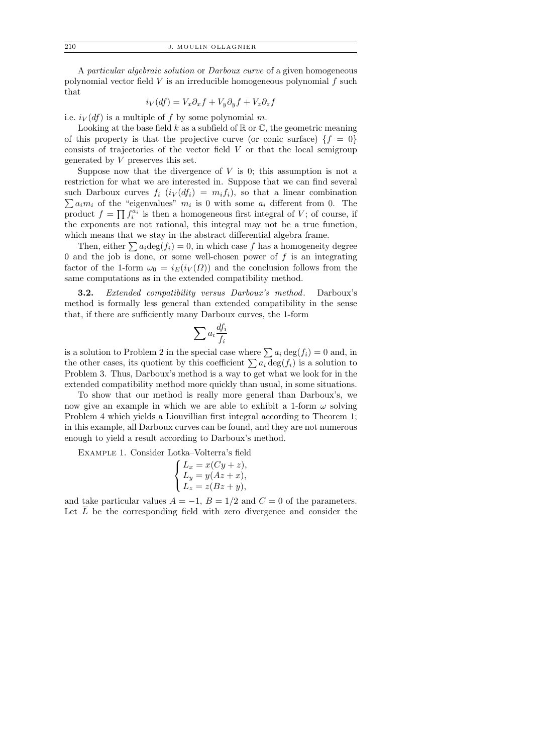A particular algebraic solution or Darboux curve of a given homogeneous polynomial vector field  $V$  is an irreducible homogeneous polynomial  $f$  such that

$$
i_V(df) = V_x \partial_x f + V_y \partial_y f + V_z \partial_z f
$$

i.e.  $i_V(df)$  is a multiple of f by some polynomial m.

Looking at the base field  $k$  as a subfield of  $\mathbb R$  or  $\mathbb C$ , the geometric meaning of this property is that the projective curve (or conic surface)  $\{f = 0\}$ consists of trajectories of the vector field  $V$  or that the local semigroup generated by V preserves this set.

Suppose now that the divergence of  $V$  is 0; this assumption is not a restriction for what we are interested in. Suppose that we can find several such Darboux curves  $f_i$   $(i_V(df_i) = m_i f_i)$ , so that a linear combination  $\sum a_i m_i$  of the "eigenvalues"  $m_i$  is 0 with some  $a_i$  different from 0. The product  $f = \prod f_i^{a_i}$  is then a homogeneous first integral of V; of course, if the exponents are not rational, this integral may not be a true function, which means that we stay in the abstract differential algebra frame.

Then, either  $\sum a_i \text{deg}(f_i) = 0$ , in which case f has a homogeneity degree 0 and the job is done, or some well-chosen power of  $f$  is an integrating factor of the 1-form  $\omega_0 = i_F(i_V(\Omega))$  and the conclusion follows from the same computations as in the extended compatibility method.

3.2. Extended compatibility versus Darboux's method. Darboux's method is formally less general than extended compatibility in the sense that, if there are sufficiently many Darboux curves, the 1-form

$$
\sum a_i \frac{df_i}{f_i}
$$

is a solution to Problem 2 in the special case where  $\sum a_i \deg(f_i) = 0$  and, in the other cases, its quotient by this coefficient  $\sum a_i \deg(f_i)$  is a solution to Problem 3. Thus, Darboux's method is a way to get what we look for in the extended compatibility method more quickly than usual, in some situations.

To show that our method is really more general than Darboux's, we now give an example in which we are able to exhibit a 1-form  $\omega$  solving Problem 4 which yields a Liouvillian first integral according to Theorem 1; in this example, all Darboux curves can be found, and they are not numerous enough to yield a result according to Darboux's method.

Example 1. Consider Lotka–Volterra's field

$$
\begin{cases}\nL_x = x(Cy + z), \\
L_y = y(Az + x), \\
L_z = z(Bz + y),\n\end{cases}
$$

and take particular values  $A = -1$ ,  $B = 1/2$  and  $C = 0$  of the parameters. Let  $L$  be the corresponding field with zero divergence and consider the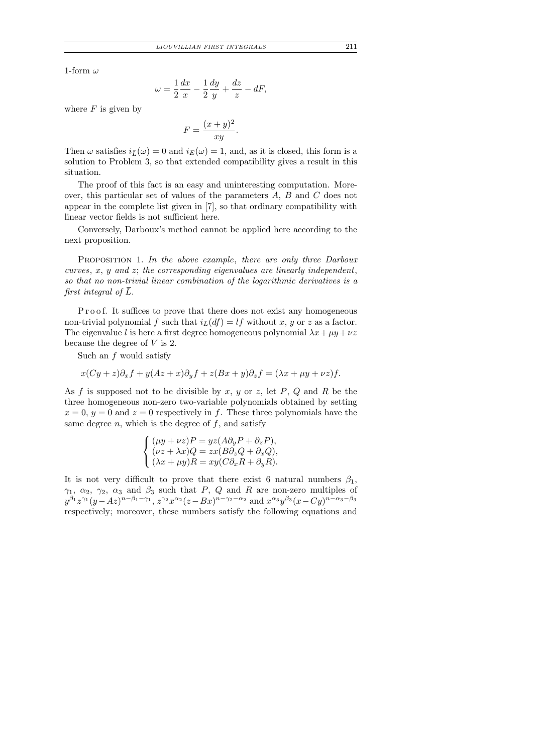1-form  $\omega$ 

$$
\omega = \frac{1}{2}\frac{dx}{x} - \frac{1}{2}\frac{dy}{y} + \frac{dz}{z} - dF,
$$

where  $F$  is given by

$$
F = \frac{(x+y)^2}{xy}.
$$

Then  $\omega$  satisfies  $i_{\bar{L}}(\omega) = 0$  and  $i_{E}(\omega) = 1$ , and, as it is closed, this form is a solution to Problem 3, so that extended compatibility gives a result in this situation.

The proof of this fact is an easy and uninteresting computation. Moreover, this particular set of values of the parameters A, B and C does not appear in the complete list given in [7], so that ordinary compatibility with linear vector fields is not sufficient here.

Conversely, Darboux's method cannot be applied here according to the next proposition.

PROPOSITION 1. In the above example, there are only three Darboux curves,  $x, y$  and  $z$ ; the corresponding eigenvalues are linearly independent, so that no non-trivial linear combination of the logarithmic derivatives is a first integral of  $\overline{L}$ .

P r o o f. It suffices to prove that there does not exist any homogeneous non-trivial polynomial f such that  $i_L(df) = lf$  without x, y or z as a factor. The eigenvalue l is here a first degree homogeneous polynomial  $\lambda x + \mu y + \nu z$ because the degree of  $V$  is 2.

Such an  $f$  would satisfy

$$
x(Cy + z)\partial_x f + y(Az + x)\partial_y f + z(Bx + y)\partial_z f = (\lambda x + \mu y + \nu z)f.
$$

As f is supposed not to be divisible by x, y or z, let P, Q and R be the three homogeneous non-zero two-variable polynomials obtained by setting  $x = 0, y = 0$  and  $z = 0$  respectively in f. These three polynomials have the same degree  $n$ , which is the degree of  $f$ , and satisfy

$$
\begin{cases}\n(\mu y + \nu z)P = yz(A\partial_y P + \partial_z P),\\ \n(\nu z + \lambda x)Q = zx(B\partial_z Q + \partial_x Q),\\ \n(\lambda x + \mu y)R = xy(C\partial_x R + \partial_y R).\n\end{cases}
$$

It is not very difficult to prove that there exist 6 natural numbers  $\beta_1$ ,  $\gamma_1, \alpha_2, \gamma_2, \alpha_3$  and  $\beta_3$  such that P, Q and R are non-zero multiples of  $y^{\beta_1}z^{\gamma_1}(y-Az)^{n-\beta_1-\gamma_1},$   $z^{\gamma_2}x^{\alpha_2}(z-Bx)^{n-\gamma_2-\alpha_2}$  and  $x^{\alpha_3}y^{\beta_3}(x-Cy)^{n-\alpha_3-\beta_3}$ respectively; moreover, these numbers satisfy the following equations and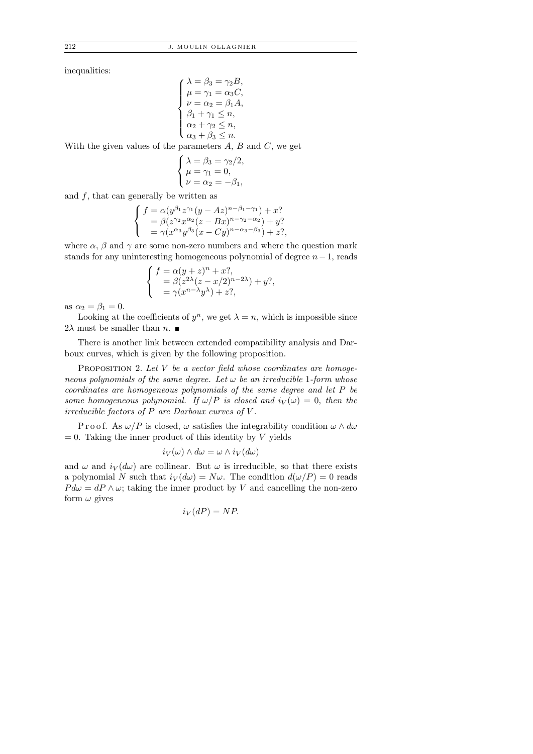inequalities:

$$
\begin{cases}\n\lambda = \beta_3 = \gamma_2 B, \\
\mu = \gamma_1 = \alpha_3 C, \\
\nu = \alpha_2 = \beta_1 A, \\
\beta_1 + \gamma_1 \le n, \\
\alpha_2 + \gamma_2 \le n, \\
\alpha_3 + \beta_3 \le n.\n\end{cases}
$$

With the given values of the parameters  $A, B$  and  $C$ , we get

$$
\begin{cases}\n\lambda = \beta_3 = \gamma_2/2, \\
\mu = \gamma_1 = 0, \\
\nu = \alpha_2 = -\beta_1,\n\end{cases}
$$

and  $f$ , that can generally be written as

$$
\begin{cases}\nf = \alpha (y^{\beta_1} z^{\gamma_1} (y - Az)^{n - \beta_1 - \gamma_1}) + x? \\
= \beta (z^{\gamma_2} x^{\alpha_2} (z - Bx)^{n - \gamma_2 - \alpha_2}) + y? \\
= \gamma (x^{\alpha_3} y^{\beta_3} (x - Cy)^{n - \alpha_3 - \beta_3}) + z?,\n\end{cases}
$$

where  $\alpha$ ,  $\beta$  and  $\gamma$  are some non-zero numbers and where the question mark stands for any uninteresting homogeneous polynomial of degree  $n-1$ , reads

$$
\begin{cases}\nf = \alpha(y+z)^n + x^2, \\
= \beta(z^{2\lambda}(z-x/2)^{n-2\lambda}) + y^2, \\
= \gamma(x^{n-\lambda}y^{\lambda}) + z^2,\n\end{cases}
$$

as  $\alpha_2 = \beta_1 = 0$ .

Looking at the coefficients of  $y^n$ , we get  $\lambda = n$ , which is impossible since  $2\lambda$  must be smaller than  $n.$ 

There is another link between extended compatibility analysis and Darboux curves, which is given by the following proposition.

PROPOSITION 2. Let  $V$  be a vector field whose coordinates are homogeneous polynomials of the same degree. Let  $\omega$  be an irreducible 1-form whose coordinates are homogeneous polynomials of the same degree and let P be some homogeneous polynomial. If  $\omega/P$  is closed and  $i_V(\omega) = 0$ , then the irreducible factors of  $P$  are Darboux curves of  $V$ .

P r o o f. As  $\omega/P$  is closed,  $\omega$  satisfies the integrability condition  $\omega \wedge d\omega$  $= 0$ . Taking the inner product of this identity by V yields

$$
i_V(\omega) \wedge d\omega = \omega \wedge i_V(d\omega)
$$

and  $\omega$  and  $i_V(d\omega)$  are collinear. But  $\omega$  is irreducible, so that there exists a polynomial N such that  $i_V(d\omega) = N\omega$ . The condition  $d(\omega/P) = 0$  reads  $P d\omega = dP \wedge \omega$ ; taking the inner product by V and cancelling the non-zero form  $\omega$  gives

$$
i_V(dP) = NP.
$$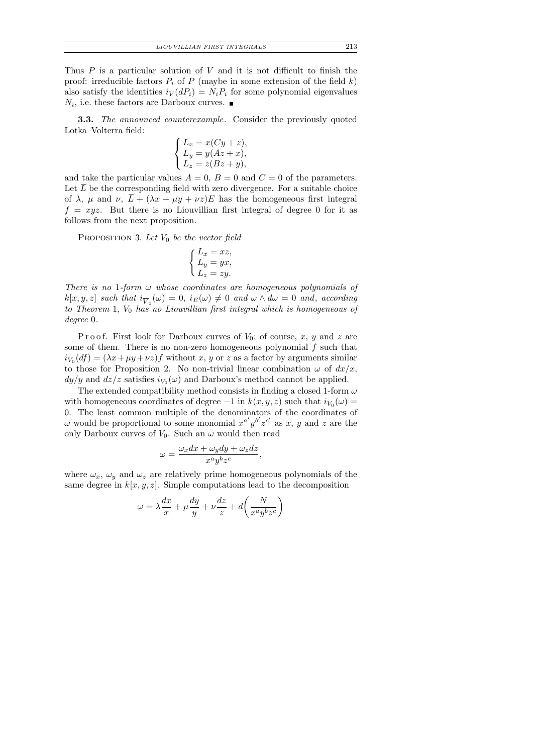Thus  $P$  is a particular solution of  $V$  and it is not difficult to finish the proof: irreducible factors  $P_i$  of P (maybe in some extension of the field k) also satisfy the identities  $i_V(dP_i) = N_i P_i$  for some polynomial eigenvalues  $N_i$ , i.e. these factors are Darboux curves.

**3.3.** The announced counterexample. Consider the previously quoted Lotka–Volterra field:

$$
\begin{cases}\nL_x = x(Cy + z), \\
L_y = y(Az + x), \\
L_z = z(Bz + y),\n\end{cases}
$$

and take the particular values  $A = 0$ ,  $B = 0$  and  $C = 0$  of the parameters. Let  $\overline{L}$  be the corresponding field with zero divergence. For a suitable choice of  $\lambda$ ,  $\mu$  and  $\nu$ ,  $\bar{L} + (\lambda x + \mu y + \nu z)E$  has the homogeneous first integral  $f = xyz$ . But there is no Liouvillian first integral of degree 0 for it as follows from the next proposition.

PROPOSITION 3. Let  $V_0$  be the vector field

$$
\begin{cases}\nL_x = xz, \\
L_y = yx, \\
L_z = zy.\n\end{cases}
$$

There is no 1-form  $\omega$  whose coordinates are homogeneous polynomials of  $k[x, y, z]$  such that  $i_{\overline{V}_0}(\omega) = 0$ ,  $i_E(\omega) \neq 0$  and  $\omega \wedge d\omega = 0$  and, according to Theorem 1,  $V_0$  has no Liouvillian first integral which is homogeneous of degree 0.

Proof. First look for Darboux curves of  $V_0$ ; of course, x, y and z are some of them. There is no non-zero homogeneous polynomial  $f$  such that  $i_{V_0}(df) = (\lambda x + \mu y + \nu z)f$  without x, y or z as a factor by arguments similar to those for Proposition 2. No non-trivial linear combination  $\omega$  of  $dx/x$ ,  $dy/y$  and  $dz/z$  satisfies  $i_{V_0}(\omega)$  and Darboux's method cannot be applied.

The extended compatibility method consists in finding a closed 1-form  $\omega$ with homogeneous coordinates of degree  $-1$  in  $k(x, y, z)$  such that  $i_{V_0}(\omega) =$ 0. The least common multiple of the denominators of the coordinates of  $\omega$  would be proportional to some monomial  $x^{a'}y^{b'}z^{c'}$  as x, y and z are the only Darboux curves of  $V_0$ . Such an  $\omega$  would then read

$$
\omega = \frac{\omega_x dx + \omega_y dy + \omega_z dz}{x^a y^b z^c},
$$

where  $\omega_x$ ,  $\omega_y$  and  $\omega_z$  are relatively prime homogeneous polynomials of the same degree in  $k[x, y, z]$ . Simple computations lead to the decomposition

$$
\omega = \lambda \frac{dx}{x} + \mu \frac{dy}{y} + \nu \frac{dz}{z} + d \left( \frac{N}{x^a y^b z^c} \right)
$$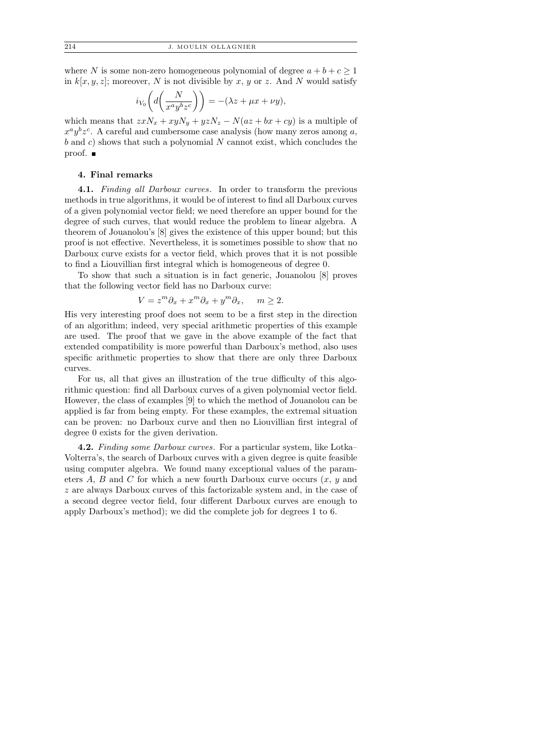where N is some non-zero homogeneous polynomial of degree  $a + b + c \geq 1$ in  $k[x, y, z]$ ; moreover, N is not divisible by x, y or z. And N would satisfy

$$
i_{V_0}\left(d\left(\frac{N}{x^ay^bz^c}\right)\right) = -(\lambda z + \mu x + \nu y),
$$

which means that  $zxN_x + xyN_y + yzN_z - N(az + bx + cy)$  is a multiple of  $x^a y^b z^c$ . A careful and cumbersome case analysis (how many zeros among a,  $b$  and c) shows that such a polynomial N cannot exist, which concludes the proof.

## 4. Final remarks

4.1. Finding all Darboux curves. In order to transform the previous methods in true algorithms, it would be of interest to find all Darboux curves of a given polynomial vector field; we need therefore an upper bound for the degree of such curves, that would reduce the problem to linear algebra. A theorem of Jouanolou's [8] gives the existence of this upper bound; but this proof is not effective. Nevertheless, it is sometimes possible to show that no Darboux curve exists for a vector field, which proves that it is not possible to find a Liouvillian first integral which is homogeneous of degree 0.

To show that such a situation is in fact generic, Jouanolou [8] proves that the following vector field has no Darboux curve:

$$
V = z^m \partial_x + x^m \partial_x + y^m \partial_x, \quad m \ge 2.
$$

His very interesting proof does not seem to be a first step in the direction of an algorithm; indeed, very special arithmetic properties of this example are used. The proof that we gave in the above example of the fact that extended compatibility is more powerful than Darboux's method, also uses specific arithmetic properties to show that there are only three Darboux curves.

For us, all that gives an illustration of the true difficulty of this algorithmic question: find all Darboux curves of a given polynomial vector field. However, the class of examples [9] to which the method of Jouanolou can be applied is far from being empty. For these examples, the extremal situation can be proven: no Darboux curve and then no Liouvillian first integral of degree 0 exists for the given derivation.

4.2. Finding some Darboux curves. For a particular system, like Lotka– Volterra's, the search of Darboux curves with a given degree is quite feasible using computer algebra. We found many exceptional values of the parameters A, B and C for which a new fourth Darboux curve occurs  $(x, y)$  and z are always Darboux curves of this factorizable system and, in the case of a second degree vector field, four different Darboux curves are enough to apply Darboux's method); we did the complete job for degrees 1 to 6.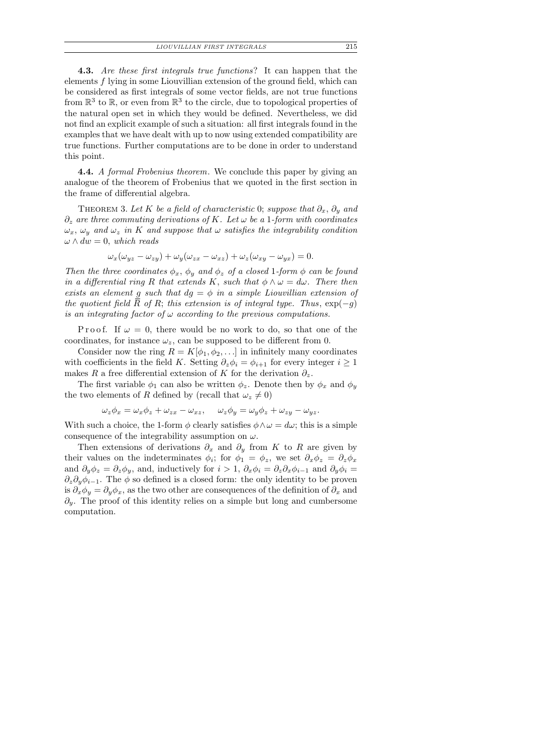| LIOUVILLIAN FIRST INTEGRALS |  |  |  |  |
|-----------------------------|--|--|--|--|
|-----------------------------|--|--|--|--|

4.3. Are these first integrals true functions? It can happen that the elements  $f$  lying in some Liouvillian extension of the ground field, which can be considered as first integrals of some vector fields, are not true functions from  $\mathbb{R}^3$  to  $\mathbb{R}$ , or even from  $\mathbb{R}^3$  to the circle, due to topological properties of the natural open set in which they would be defined. Nevertheless, we did not find an explicit example of such a situation: all first integrals found in the examples that we have dealt with up to now using extended compatibility are true functions. Further computations are to be done in order to understand this point.

4.4. A formal Frobenius theorem. We conclude this paper by giving an analogue of the theorem of Frobenius that we quoted in the first section in the frame of differential algebra.

THEOREM 3. Let K be a field of characteristic 0; suppose that  $\partial_x$ ,  $\partial_y$  and  $\partial_z$  are three commuting derivations of K. Let  $\omega$  be a 1-form with coordinates  $\omega_x$ ,  $\omega_y$  and  $\omega_z$  in K and suppose that  $\omega$  satisfies the integrability condition  $\omega \wedge dw = 0$ , which reads

$$
\omega_x(\omega_{yz} - \omega_{zy}) + \omega_y(\omega_{zx} - \omega_{xz}) + \omega_z(\omega_{xy} - \omega_{yx}) = 0.
$$

Then the three coordinates  $\phi_x$ ,  $\phi_y$  and  $\phi_z$  of a closed 1-form  $\phi$  can be found in a differential ring R that extends K, such that  $\phi \wedge \omega = d\omega$ . There then exists an element g such that  $dg = \phi$  in a simple Liouvillian extension of the quotient field  $\overline{R}$  of R; this extension is of integral type. Thus,  $\exp(-q)$ is an integrating factor of  $\omega$  according to the previous computations.

Proof. If  $\omega = 0$ , there would be no work to do, so that one of the coordinates, for instance  $\omega_z$ , can be supposed to be different from 0.

Consider now the ring  $R = K[\phi_1, \phi_2, \ldots]$  in infinitely many coordinates with coefficients in the field K. Setting  $\partial_z \phi_i = \phi_{i+1}$  for every integer  $i \geq 1$ makes R a free differential extension of K for the derivation  $\partial_z$ .

The first variable  $\phi_1$  can also be written  $\phi_z$ . Denote then by  $\phi_x$  and  $\phi_y$ the two elements of R defined by (recall that  $\omega_z \neq 0$ )

$$
\omega_z \phi_x = \omega_x \phi_z + \omega_{zx} - \omega_{xz}, \qquad \omega_z \phi_y = \omega_y \phi_z + \omega_{zy} - \omega_{yz}.
$$

With such a choice, the 1-form  $\phi$  clearly satisfies  $\phi \wedge \omega = d\omega$ ; this is a simple consequence of the integrability assumption on  $\omega$ .

Then extensions of derivations  $\partial_x$  and  $\partial_y$  from K to R are given by their values on the indeterminates  $\phi_i$ ; for  $\phi_1 = \phi_z$ , we set  $\partial_x \phi_z = \partial_z \phi_x$ and  $\partial_y \phi_z = \partial_z \phi_y$ , and, inductively for  $i > 1$ ,  $\partial_x \phi_i = \partial_z \partial_x \phi_{i-1}$  and  $\partial_y \phi_i =$  $\partial_z \partial_y \phi_{i-1}$ . The  $\phi$  so defined is a closed form: the only identity to be proven is  $\partial_x \phi_y = \partial_y \phi_x$ , as the two other are consequences of the definition of  $\partial_x$  and  $\partial_y$ . The proof of this identity relies on a simple but long and cumbersome computation.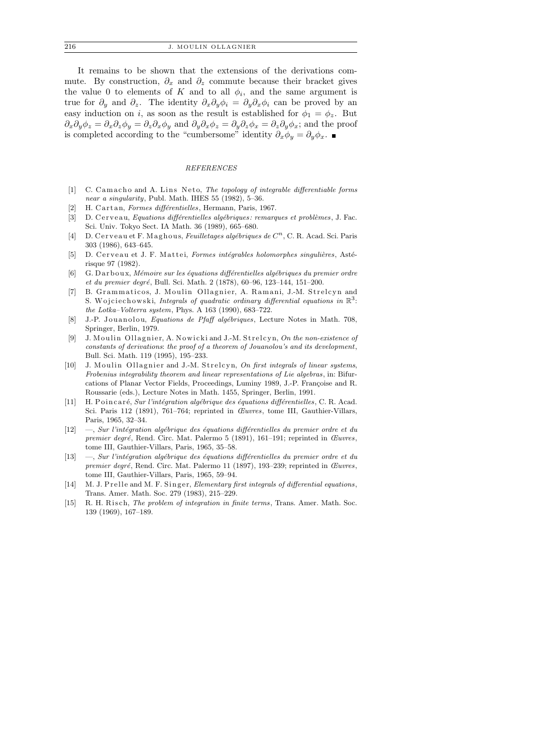It remains to be shown that the extensions of the derivations commute. By construction,  $\partial_x$  and  $\partial_z$  commute because their bracket gives the value 0 to elements of K and to all  $\phi_i$ , and the same argument is true for  $\partial_y$  and  $\partial_z$ . The identity  $\partial_x \partial_y \phi_i = \partial_y \partial_x \phi_i$  can be proved by an easy induction on i, as soon as the result is established for  $\phi_1 = \phi_z$ . But  $\partial_x\partial_y\phi_z = \partial_x\partial_z\phi_y = \partial_z\partial_x\phi_y$  and  $\partial_y\partial_x\phi_z = \partial_y\partial_z\phi_x = \partial_z\partial_y\phi_x$ ; and the proof is completed according to the "cumbersome" identity  $\partial_x \phi_y = \partial_y \phi_x$ . ■

### *REFERENCES*

- [1] C. Camacho and A. Lins Neto, *The topology of integrable differentiable forms near a singularity*, Publ. Math. IHES 55 (1982), 5–36.
- [2] H. Cartan, *Formes différentielles*, Hermann, Paris, 1967.
- [3] D. C er v e a u, *Equations différentielles algébriques: remarques et problèmes*, J. Fac. Sci. Univ. Tokyo Sect. IA Math. 36 (1989), 665–680.
- [4] D. Cerveau et F. Maghous, *Feuilletages algébriques de C<sup>n</sup>*, C. R. Acad. Sci. Paris 303 (1986), 643–645.
- [5] D. Cerveau et J. F. Mattei, *Formes intégrables holomorphes singulières*, Astérisque 97 (1982).
- [6] G. Darboux, *Mémoire sur les équations différentielles algébriques du premier ordre et du premier degré*, Bull. Sci. Math. 2 (1878), 60–96, 123–144, 151–200.
- [7] B. Grammaticos, J. Moulin Ollagnier, A. Ramani, J.-M. Strelcyn and S. Wojciechowski, *Integrals of quadratic ordinary differential equations in*  $\mathbb{R}^3$ : *the Lotka–Volterra system*, Phys. A 163 (1990), 683–722.
- [8] J.-P. Jouanolou, *Equations de Pfaff algébriques*, Lecture Notes in Math. 708, Springer, Berlin, 1979.
- [9] J. Moulin Ollagnier, A. Nowicki and J.-M. Strelcyn, On the non-existence of *constants of derivations*: *the proof of a theorem of Jouanolou's and its development*, Bull. Sci. Math. 119 (1995), 195–233.
- [10] J. Moulin Ollagnier and J.-M. Strelcyn, *On first integrals of linear systems*, *Frobenius integrability theorem and linear representations of Lie algebras*, in: Bifurcations of Planar Vector Fields, Proceedings, Luminy 1989, J.-P. Françoise and R. Roussarie (eds.), Lecture Notes in Math. 1455, Springer, Berlin, 1991.
- [11] H. Poincaré, *Sur l'intégration algébrique des équations différentielles*, C. R. Acad. Sci. Paris 112 (1891), 761–764; reprinted in *Œuvres*, tome III, Gauthier-Villars, Paris, 1965, 32–34.
- [12] —, *Sur l'intégration algébrique des équations différentielles du premier ordre et du premier degré*, Rend. Circ. Mat. Palermo 5 (1891), 161-191; reprinted in *Œuvres*, tome III, Gauthier-Villars, Paris, 1965, 35–58.
- [13] —, *Sur l'intégration algébrique des équations différentielles du premier ordre et du premier degr´e*, Rend. Circ. Mat. Palermo 11 (1897), 193–239; reprinted in *Œuvres*, tome III, Gauthier-Villars, Paris, 1965, 59–94.
- [14] M. J. P r elle and M. F. Singer, *Elementary first integrals of differential equations*, Trans. Amer. Math. Soc. 279 (1983), 215–229.
- [15] R. H. Risch, *The problem of integration in finite terms*, Trans. Amer. Math. Soc. 139 (1969), 167–189.